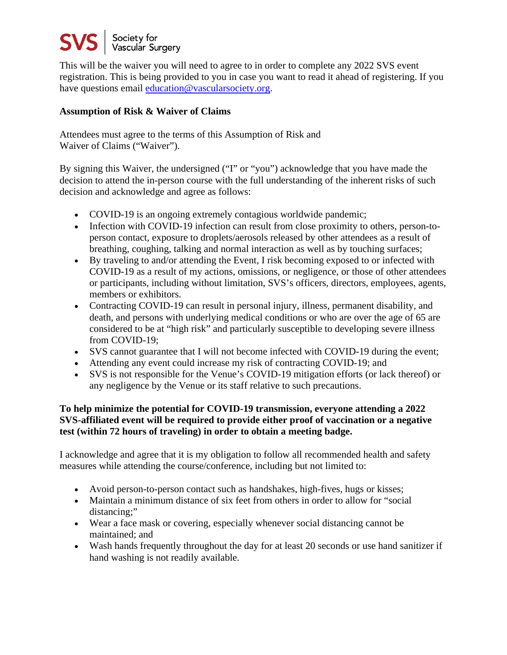## Society for<br>Vascular Surgery

This will be the waiver you will need to agree to in order to complete any 2022 SVS event registration. This is being provided to you in case you want to read it ahead of registering. If you have questions email [education@vascularsociety.org.](mailto:education@vascularsociety.org)

## **Assumption of Risk & Waiver of Claims**

Attendees must agree to the terms of this Assumption of Risk and Waiver of Claims ("Waiver").

By signing this Waiver, the undersigned ("I" or "you") acknowledge that you have made the decision to attend the in-person course with the full understanding of the inherent risks of such decision and acknowledge and agree as follows:

- COVID-19 is an ongoing extremely contagious worldwide pandemic;
- Infection with COVID-19 infection can result from close proximity to others, person-toperson contact, exposure to droplets/aerosols released by other attendees as a result of breathing, coughing, talking and normal interaction as well as by touching surfaces;
- By traveling to and/or attending the Event, I risk becoming exposed to or infected with COVID-19 as a result of my actions, omissions, or negligence, or those of other attendees or participants, including without limitation, SVS's officers, directors, employees, agents, members or exhibitors.
- Contracting COVID-19 can result in personal injury, illness, permanent disability, and death, and persons with underlying medical conditions or who are over the age of 65 are considered to be at "high risk" and particularly susceptible to developing severe illness from COVID-19;
- SVS cannot guarantee that I will not become infected with COVID-19 during the event;
- Attending any event could increase my risk of contracting COVID-19; and
- SVS is not responsible for the Venue's COVID-19 mitigation efforts (or lack thereof) or any negligence by the Venue or its staff relative to such precautions.

## **To help minimize the potential for COVID-19 transmission, everyone attending a 2022 SVS-affiliated event will be required to provide either proof of vaccination or a negative test (within 72 hours of traveling) in order to obtain a meeting badge.**

I acknowledge and agree that it is my obligation to follow all recommended health and safety measures while attending the course/conference, including but not limited to:

- Avoid person-to-person contact such as handshakes, high-fives, hugs or kisses;
- Maintain a minimum distance of six feet from others in order to allow for "social distancing;"
- Wear a face mask or covering, especially whenever social distancing cannot be maintained; and
- Wash hands frequently throughout the day for at least 20 seconds or use hand sanitizer if hand washing is not readily available.